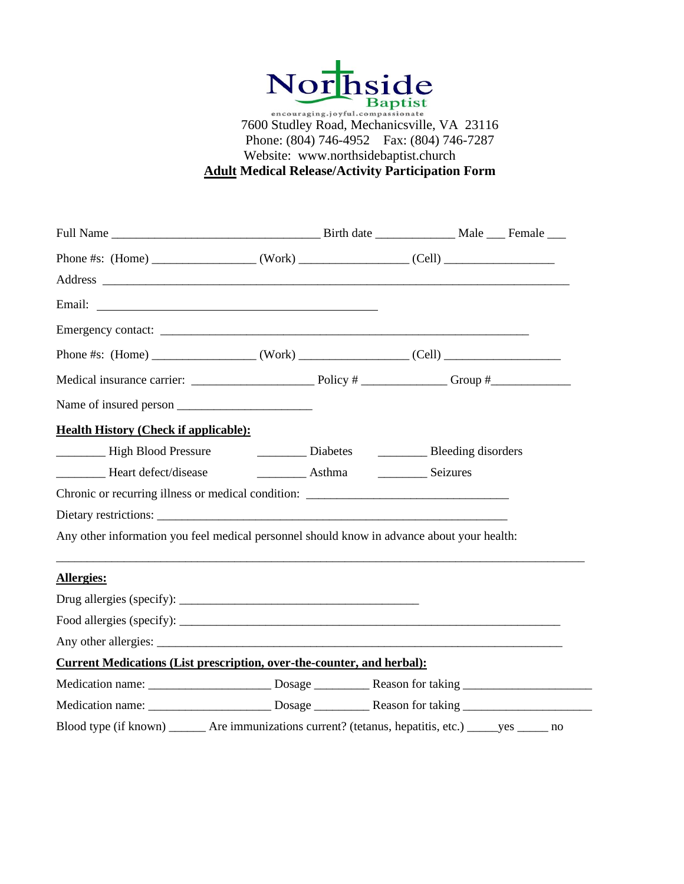

Phone: (804) 746-4952 Fax: (804) 746-7287 Website: www.northsidebaptist.church **Adult Medical Release/Activity Participation Form**

| Email: National Communication of the Communication of the Communication of the Communication of the Communication of the Communication of the Communication of the Communication of the Communication of the Communication of |  |  |  |  |
|-------------------------------------------------------------------------------------------------------------------------------------------------------------------------------------------------------------------------------|--|--|--|--|
|                                                                                                                                                                                                                               |  |  |  |  |
|                                                                                                                                                                                                                               |  |  |  |  |
|                                                                                                                                                                                                                               |  |  |  |  |
|                                                                                                                                                                                                                               |  |  |  |  |
| <b>Health History (Check if applicable):</b>                                                                                                                                                                                  |  |  |  |  |
| Latter Lines and High Blood Pressure and Latter Lines Diabetes and Bleeding disorders                                                                                                                                         |  |  |  |  |
|                                                                                                                                                                                                                               |  |  |  |  |
| Chronic or recurring illness or medical condition: ______________________________                                                                                                                                             |  |  |  |  |
|                                                                                                                                                                                                                               |  |  |  |  |
| Any other information you feel medical personnel should know in advance about your health:                                                                                                                                    |  |  |  |  |
| <b>Allergies:</b>                                                                                                                                                                                                             |  |  |  |  |
|                                                                                                                                                                                                                               |  |  |  |  |
| Food allergies (specify): $\sqrt{\frac{1}{2} \sum_{r=1}^{r} (r - 1)^r}$                                                                                                                                                       |  |  |  |  |
|                                                                                                                                                                                                                               |  |  |  |  |
| <b>Current Medications (List prescription, over-the-counter, and herbal):</b>                                                                                                                                                 |  |  |  |  |
|                                                                                                                                                                                                                               |  |  |  |  |
|                                                                                                                                                                                                                               |  |  |  |  |
| Blood type (if known) ______ Are immunizations current? (tetanus, hepatitis, etc.) _____ yes _____ no                                                                                                                         |  |  |  |  |